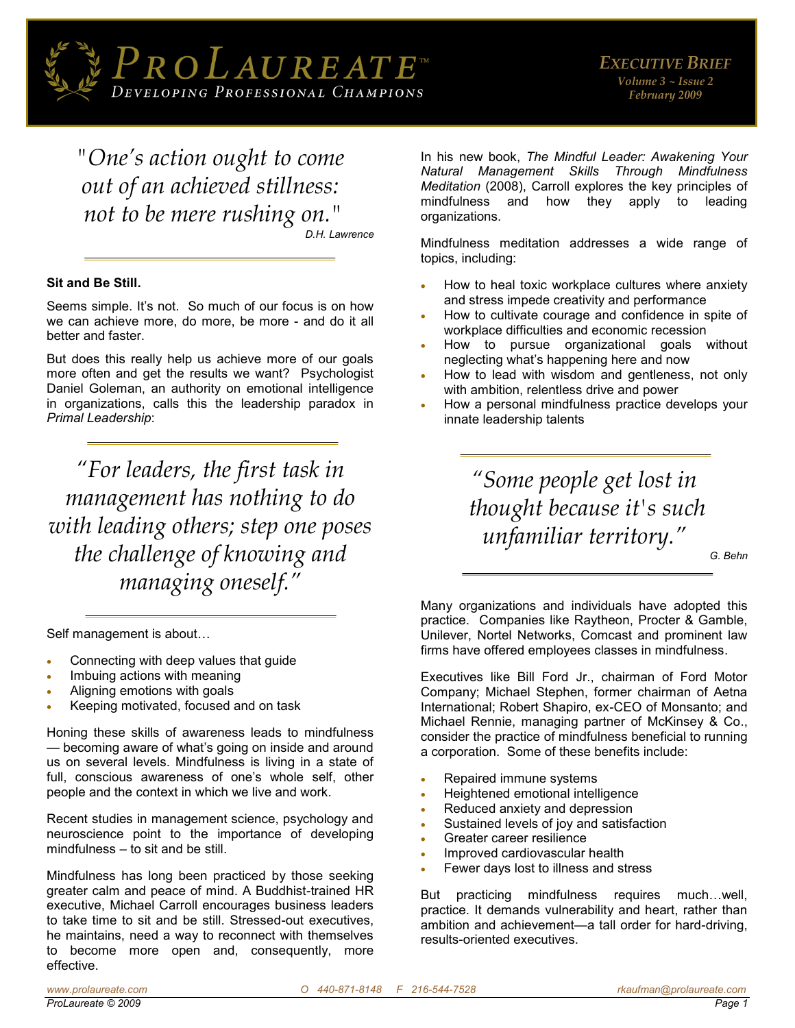

*"One's action ought to come out of an achieved stillness: not to be mere rushing on."*

*D.H. Lawrence*

#### **Sit and Be Still.**

Seems simple. It's not. So much of our focus is on how we can achieve more, do more, be more - and do it all better and faster.

But does this really help us achieve more of our goals more often and get the results we want? Psychologist Daniel Goleman, an authority on emotional intelligence in organizations, calls this the leadership paradox in *Primal Leadership*:

*"For leaders, the first task in management has nothing to do with leading others; step one poses the challenge of knowing and managing oneself."*

Self management is about…

- Connecting with deep values that guide
- Imbuing actions with meaning
- Aligning emotions with goals
- Keeping motivated, focused and on task

Honing these skills of awareness leads to mindfulness — becoming aware of what's going on inside and around us on several levels. Mindfulness is living in a state of full, conscious awareness of one's whole self, other people and the context in which we live and work.

Recent studies in management science, psychology and neuroscience point to the importance of developing mindfulness – to sit and be still.

Mindfulness has long been practiced by those seeking greater calm and peace of mind. A Buddhist-trained HR executive, Michael Carroll encourages business leaders to take time to sit and be still. Stressed-out executives, he maintains, need a way to reconnect with themselves to become more open and, consequently, more effective.

In his new book, *The Mindful Leader: Awakening Your Natural Management Skills Through Mindfulness Meditation* (2008), Carroll explores the key principles of mindfulness and how they apply to leading organizations.

Mindfulness meditation addresses a wide range of topics, including:

- How to heal toxic workplace cultures where anxiety and stress impede creativity and performance
- How to cultivate courage and confidence in spite of workplace difficulties and economic recession
- How to pursue organizational goals without neglecting what's happening here and now
- How to lead with wisdom and gentleness, not only with ambition, relentless drive and power
- How a personal mindfulness practice develops your innate leadership talents

*"Some people get lost in thought because it's such unfamiliar territory."*

*G. Behn* 

Many organizations and individuals have adopted this practice. Companies like Raytheon, Procter & Gamble, Unilever, Nortel Networks, Comcast and prominent law firms have offered employees classes in mindfulness.

Executives like Bill Ford Jr., chairman of Ford Motor Company; Michael Stephen, former chairman of Aetna International; Robert Shapiro, ex-CEO of Monsanto; and Michael Rennie, managing partner of McKinsey & Co., consider the practice of mindfulness beneficial to running a corporation. Some of these benefits include:

- Repaired immune systems
- Heightened emotional intelligence
- Reduced anxiety and depression
- Sustained levels of joy and satisfaction
- Greater career resilience
- Improved cardiovascular health
- Fewer days lost to illness and stress

But practicing mindfulness requires much…well, practice. It demands vulnerability and heart, rather than ambition and achievement—a tall order for hard-driving, results-oriented executives.